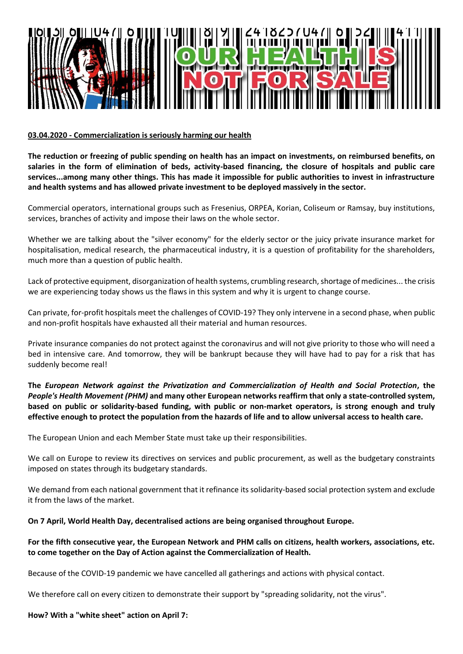

## **03.04.2020 - Commercialization is seriously harming our health**

**The reduction or freezing of public spending on health has an impact on investments, on reimbursed benefits, on salaries in the form of elimination of beds, activity-based financing, the closure of hospitals and public care services...among many other things. This has made it impossible for public authorities to invest in infrastructure and health systems and has allowed private investment to be deployed massively in the sector.**

Commercial operators, international groups such as Fresenius, ORPEA, Korian, Coliseum or Ramsay, buy institutions, services, branches of activity and impose their laws on the whole sector.

Whether we are talking about the "silver economy" for the elderly sector or the juicy private insurance market for hospitalisation, medical research, the pharmaceutical industry, it is a question of profitability for the shareholders, much more than a question of public health.

Lack of protective equipment, disorganization of health systems, crumbling research, shortage of medicines... the crisis we are experiencing today shows us the flaws in this system and why it is urgent to change course.

Can private, for-profit hospitals meet the challenges of COVID-19? They only intervene in a second phase, when public and non-profit hospitals have exhausted all their material and human resources.

Private insurance companies do not protect against the coronavirus and will not give priority to those who will need a bed in intensive care. And tomorrow, they will be bankrupt because they will have had to pay for a risk that has suddenly become real!

**The** *European Network against the Privatization and Commercialization of Health and Social Protection***, the**  *People's Health Movement (PHM)* **and many other European networks reaffirm that only a state-controlled system, based on public or solidarity-based funding, with public or non-market operators, is strong enough and truly effective enough to protect the population from the hazards of life and to allow universal access to health care.**

The European Union and each Member State must take up their responsibilities.

We call on Europe to review its directives on services and public procurement, as well as the budgetary constraints imposed on states through its budgetary standards.

We demand from each national government that it refinance its solidarity-based social protection system and exclude it from the laws of the market.

## **On 7 April, World Health Day, decentralised actions are being organised throughout Europe.**

## **For the fifth consecutive year, the European Network and PHM calls on citizens, health workers, associations, etc. to come together on the Day of Action against the Commercialization of Health.**

Because of the COVID-19 pandemic we have cancelled all gatherings and actions with physical contact.

We therefore call on every citizen to demonstrate their support by "spreading solidarity, not the virus".

## **How? With a "white sheet" action on April 7:**